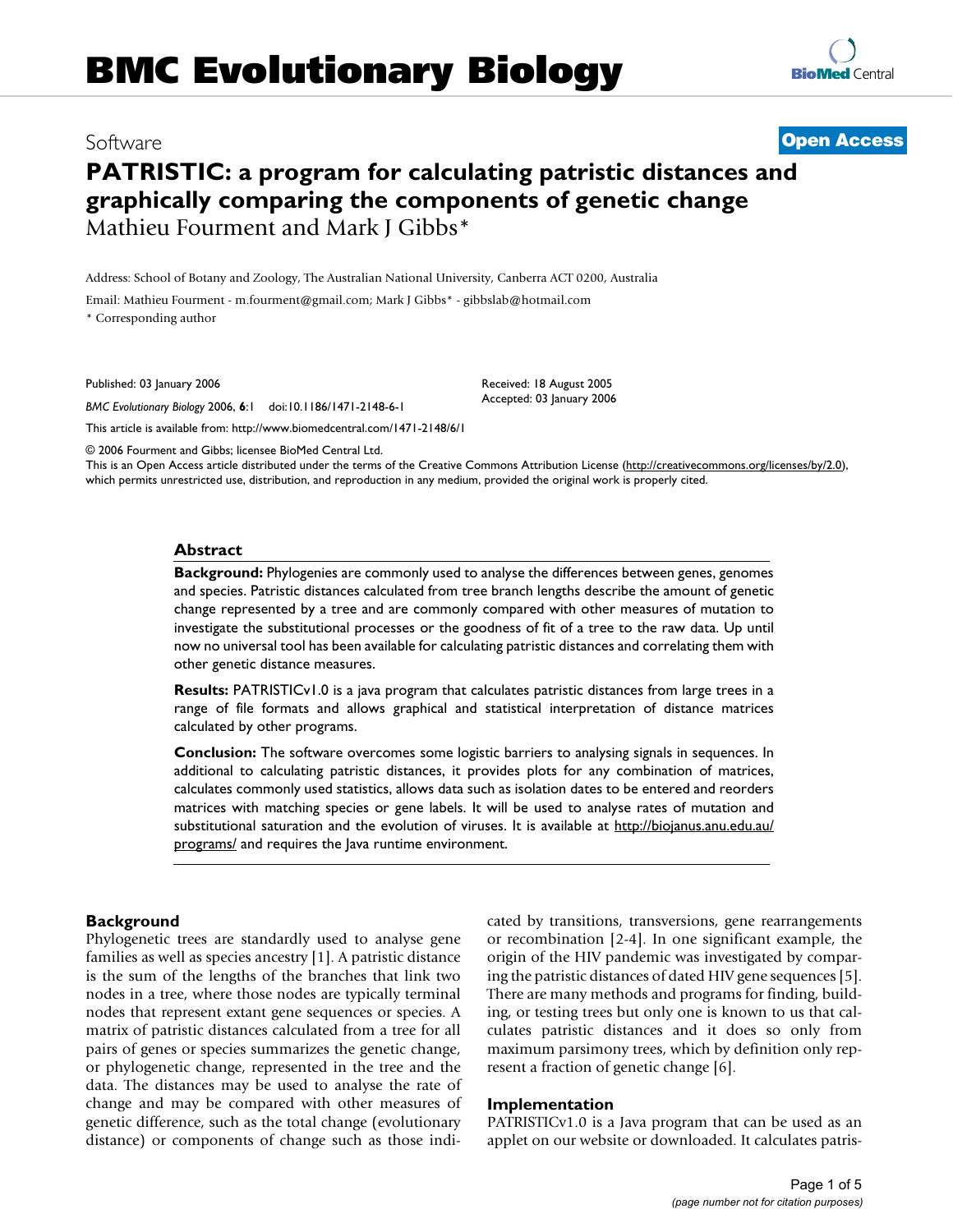# **BMC Evolutionary Biology**

## **PATRISTIC: a program for calculating patristic distances and graphically comparing the components of genetic change** Mathieu Fourment and Mark J Gibbs\*

Address: School of Botany and Zoology, The Australian National University, Canberra ACT 0200, Australia

Email: Mathieu Fourment - m.fourment@gmail.com; Mark J Gibbs\* - gibbslab@hotmail.com

\* Corresponding author

Published: 03 January 2006

*BMC Evolutionary Biology* 2006, **6**:1 doi:10.1186/1471-2148-6-1

[This article is available from: http://www.biomedcentral.com/1471-2148/6/1](http://www.biomedcentral.com/1471-2148/6/1)

© 2006 Fourment and Gibbs; licensee BioMed Central Ltd.

This is an Open Access article distributed under the terms of the Creative Commons Attribution License [\(http://creativecommons.org/licenses/by/2.0\)](http://creativecommons.org/licenses/by/2.0), which permits unrestricted use, distribution, and reproduction in any medium, provided the original work is properly cited.

#### **Abstract**

**Background:** Phylogenies are commonly used to analyse the differences between genes, genomes and species. Patristic distances calculated from tree branch lengths describe the amount of genetic change represented by a tree and are commonly compared with other measures of mutation to investigate the substitutional processes or the goodness of fit of a tree to the raw data. Up until now no universal tool has been available for calculating patristic distances and correlating them with other genetic distance measures.

**Results:** PATRISTICv1.0 is a java program that calculates patristic distances from large trees in a range of file formats and allows graphical and statistical interpretation of distance matrices calculated by other programs.

**Conclusion:** The software overcomes some logistic barriers to analysing signals in sequences. In additional to calculating patristic distances, it provides plots for any combination of matrices, calculates commonly used statistics, allows data such as isolation dates to be entered and reorders matrices with matching species or gene labels. It will be used to analyse rates of mutation and substitutional saturation and the evolution of viruses. It is available at [http://biojanus.anu.edu.au/](http://biojanus.anu.edu.au/programs/) [programs/](http://biojanus.anu.edu.au/programs/) and requires the Java runtime environment.

#### **Background**

Phylogenetic trees are standardly used to analyse gene families as well as species ancestry [1]. A patristic distance is the sum of the lengths of the branches that link two nodes in a tree, where those nodes are typically terminal nodes that represent extant gene sequences or species. A matrix of patristic distances calculated from a tree for all pairs of genes or species summarizes the genetic change, or phylogenetic change, represented in the tree and the data. The distances may be used to analyse the rate of change and may be compared with other measures of genetic difference, such as the total change (evolutionary distance) or components of change such as those indicated by transitions, transversions, gene rearrangements or recombination [2-4]. In one significant example, the origin of the HIV pandemic was investigated by comparing the patristic distances of dated HIV gene sequences [5]. There are many methods and programs for finding, building, or testing trees but only one is known to us that calculates patristic distances and it does so only from maximum parsimony trees, which by definition only represent a fraction of genetic change [6].

#### **Implementation**

PATRISTICv1.0 is a Java program that can be used as an applet on our website or downloaded. It calculates patris-

### Software **[Open Access](http://www.biomedcentral.com/info/about/charter/)**

Received: 18 August 2005 Accepted: 03 January 2006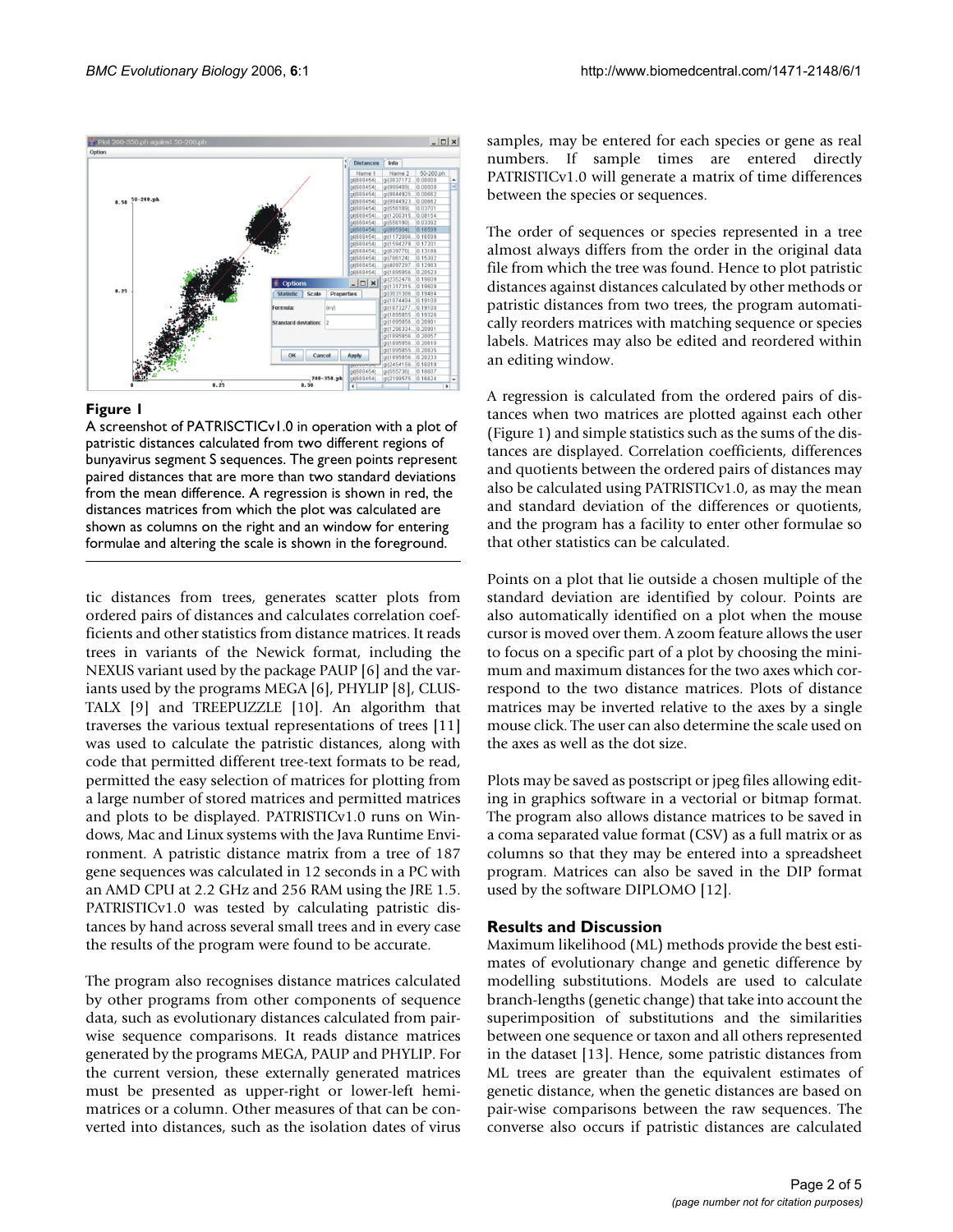

#### Figure 1

A screenshot of PATRISCTICv1.0 in operation with a plot of patristic distances calculated from two different regions of bunyavirus segment S sequences. The green points represent paired distances that are more than two standard deviations from the mean difference. A regression is shown in red, the distances matrices from which the plot was calculated are shown as columns on the right and an window for entering formulae and altering the scale is shown in the foreground.

tic distances from trees, generates scatter plots from ordered pairs of distances and calculates correlation coefficients and other statistics from distance matrices. It reads trees in variants of the Newick format, including the NEXUS variant used by the package PAUP [6] and the variants used by the programs MEGA [6], PHYLIP [8], CLUS-TALX [9] and TREEPUZZLE [10]. An algorithm that traverses the various textual representations of trees [11] was used to calculate the patristic distances, along with code that permitted different tree-text formats to be read, permitted the easy selection of matrices for plotting from a large number of stored matrices and permitted matrices and plots to be displayed. PATRISTICv1.0 runs on Windows, Mac and Linux systems with the Java Runtime Environment. A patristic distance matrix from a tree of 187 gene sequences was calculated in 12 seconds in a PC with an AMD CPU at 2.2 GHz and 256 RAM using the JRE 1.5. PATRISTICv1.0 was tested by calculating patristic distances by hand across several small trees and in every case the results of the program were found to be accurate.

The program also recognises distance matrices calculated by other programs from other components of sequence data, such as evolutionary distances calculated from pairwise sequence comparisons. It reads distance matrices generated by the programs MEGA, PAUP and PHYLIP. For the current version, these externally generated matrices must be presented as upper-right or lower-left hemimatrices or a column. Other measures of that can be converted into distances, such as the isolation dates of virus samples, may be entered for each species or gene as real numbers. If sample times are entered directly PATRISTICv1.0 will generate a matrix of time differences between the species or sequences.

The order of sequences or species represented in a tree almost always differs from the order in the original data file from which the tree was found. Hence to plot patristic distances against distances calculated by other methods or patristic distances from two trees, the program automatically reorders matrices with matching sequence or species labels. Matrices may also be edited and reordered within an editing window.

A regression is calculated from the ordered pairs of distances when two matrices are plotted against each other (Figure 1) and simple statistics such as the sums of the distances are displayed. Correlation coefficients, differences and quotients between the ordered pairs of distances may also be calculated using PATRISTICv1.0, as may the mean and standard deviation of the differences or quotients, and the program has a facility to enter other formulae so that other statistics can be calculated.

Points on a plot that lie outside a chosen multiple of the standard deviation are identified by colour. Points are also automatically identified on a plot when the mouse cursor is moved over them. A zoom feature allows the user to focus on a specific part of a plot by choosing the minimum and maximum distances for the two axes which correspond to the two distance matrices. Plots of distance matrices may be inverted relative to the axes by a single mouse click. The user can also determine the scale used on the axes as well as the dot size.

Plots may be saved as postscript or jpeg files allowing editing in graphics software in a vectorial or bitmap format. The program also allows distance matrices to be saved in a coma separated value format (CSV) as a full matrix or as columns so that they may be entered into a spreadsheet program. Matrices can also be saved in the DIP format used by the software DIPLOMO [12].

#### **Results and Discussion**

Maximum likelihood (ML) methods provide the best estimates of evolutionary change and genetic difference by modelling substitutions. Models are used to calculate branch-lengths (genetic change) that take into account the superimposition of substitutions and the similarities between one sequence or taxon and all others represented in the dataset [13]. Hence, some patristic distances from ML trees are greater than the equivalent estimates of genetic distance, when the genetic distances are based on pair-wise comparisons between the raw sequences. The converse also occurs if patristic distances are calculated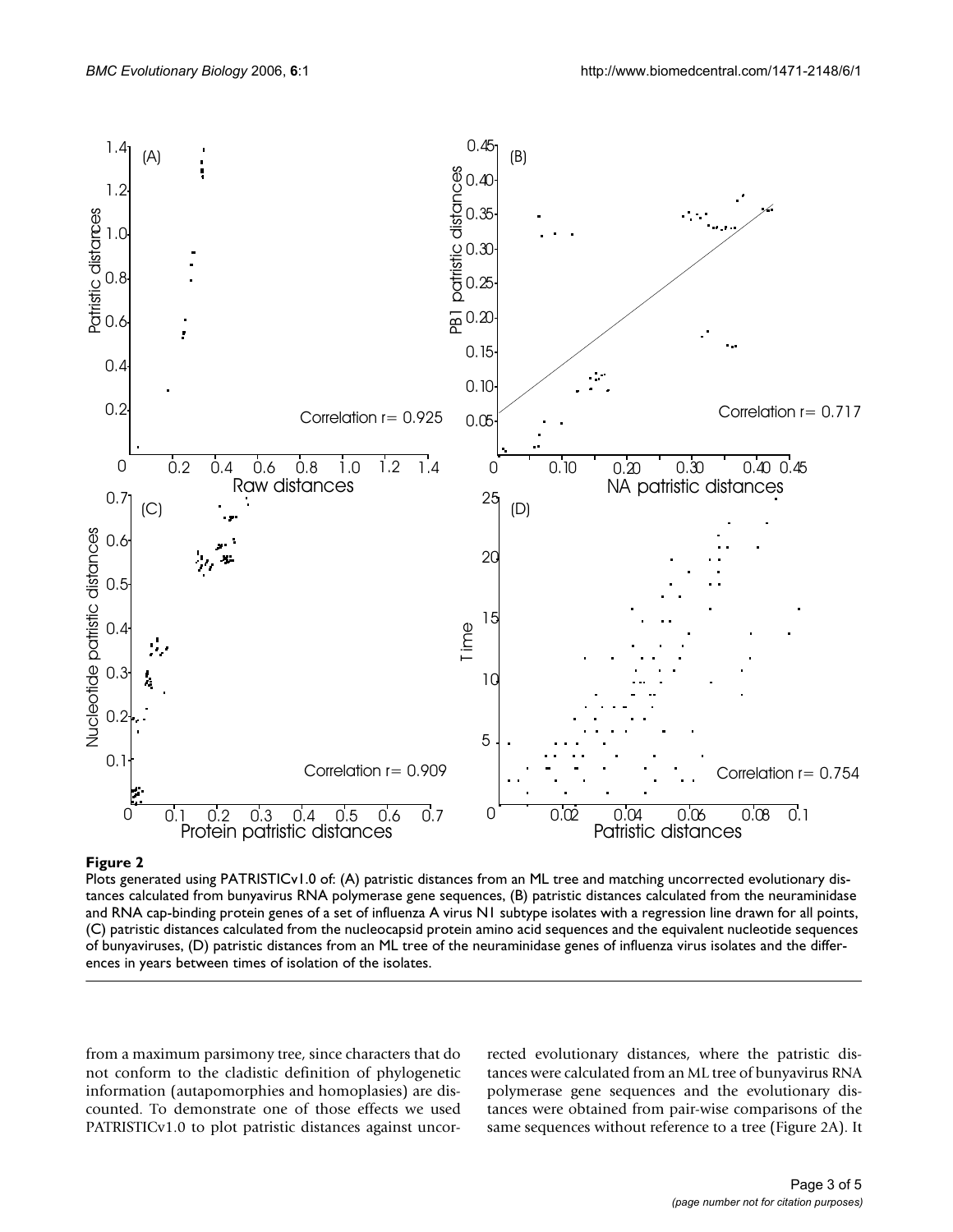

#### **Figure 2**

Plots generated using PATRISTICv1.0 of: (A) patristic distances from an ML tree and matching uncorrected evolutionary distances calculated from bunyavirus RNA polymerase gene sequences, (B) patristic distances calculated from the neuraminidase and RNA cap-binding protein genes of a set of influenza A virus N1 subtype isolates with a regression line drawn for all points, (C) patristic distances calculated from the nucleocapsid protein amino acid sequences and the equivalent nucleotide sequences of bunyaviruses, (D) patristic distances from an ML tree of the neuraminidase genes of influenza virus isolates and the differences in years between times of isolation of the isolates.

from a maximum parsimony tree, since characters that do not conform to the cladistic definition of phylogenetic information (autapomorphies and homoplasies) are discounted. To demonstrate one of those effects we used PATRISTICv1.0 to plot patristic distances against uncorrected evolutionary distances, where the patristic distances were calculated from an ML tree of bunyavirus RNA polymerase gene sequences and the evolutionary distances were obtained from pair-wise comparisons of the same sequences without reference to a tree (Figure 2A). It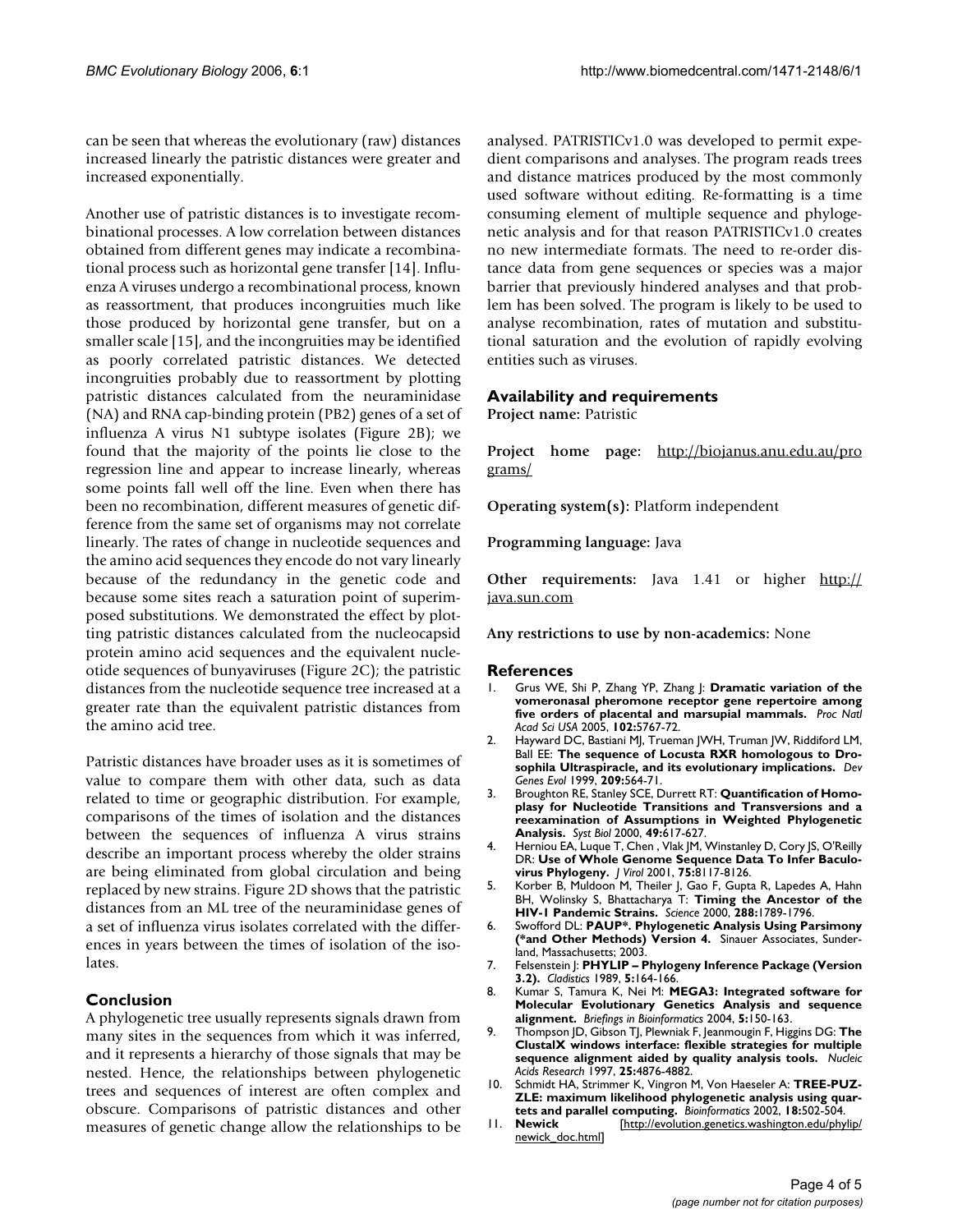can be seen that whereas the evolutionary (raw) distances increased linearly the patristic distances were greater and increased exponentially.

Another use of patristic distances is to investigate recombinational processes. A low correlation between distances obtained from different genes may indicate a recombinational process such as horizontal gene transfer [14]. Influenza A viruses undergo a recombinational process, known as reassortment, that produces incongruities much like those produced by horizontal gene transfer, but on a smaller scale [15], and the incongruities may be identified as poorly correlated patristic distances. We detected incongruities probably due to reassortment by plotting patristic distances calculated from the neuraminidase (NA) and RNA cap-binding protein (PB2) genes of a set of influenza A virus N1 subtype isolates (Figure 2B); we found that the majority of the points lie close to the regression line and appear to increase linearly, whereas some points fall well off the line. Even when there has been no recombination, different measures of genetic difference from the same set of organisms may not correlate linearly. The rates of change in nucleotide sequences and the amino acid sequences they encode do not vary linearly because of the redundancy in the genetic code and because some sites reach a saturation point of superimposed substitutions. We demonstrated the effect by plotting patristic distances calculated from the nucleocapsid protein amino acid sequences and the equivalent nucleotide sequences of bunyaviruses (Figure 2C); the patristic distances from the nucleotide sequence tree increased at a greater rate than the equivalent patristic distances from the amino acid tree.

Patristic distances have broader uses as it is sometimes of value to compare them with other data, such as data related to time or geographic distribution. For example, comparisons of the times of isolation and the distances between the sequences of influenza A virus strains describe an important process whereby the older strains are being eliminated from global circulation and being replaced by new strains. Figure 2D shows that the patristic distances from an ML tree of the neuraminidase genes of a set of influenza virus isolates correlated with the differences in years between the times of isolation of the isolates.

#### **Conclusion**

A phylogenetic tree usually represents signals drawn from many sites in the sequences from which it was inferred, and it represents a hierarchy of those signals that may be nested. Hence, the relationships between phylogenetic trees and sequences of interest are often complex and obscure. Comparisons of patristic distances and other measures of genetic change allow the relationships to be analysed. PATRISTICv1.0 was developed to permit expedient comparisons and analyses. The program reads trees and distance matrices produced by the most commonly used software without editing. Re-formatting is a time consuming element of multiple sequence and phylogenetic analysis and for that reason PATRISTICv1.0 creates no new intermediate formats. The need to re-order distance data from gene sequences or species was a major barrier that previously hindered analyses and that problem has been solved. The program is likely to be used to analyse recombination, rates of mutation and substitutional saturation and the evolution of rapidly evolving entities such as viruses.

#### **Availability and requirements**

**Project name:** Patristic

**Project home page:** [http://biojanus.anu.edu.au/pro](http://biojanus.anu.edu.au/programs/) [grams/](http://biojanus.anu.edu.au/programs/)

**Operating system(s):** Platform independent

**Programming language:** Java

**Other requirements:** Java 1.41 or higher [http://](http://java.sun.com) [java.sun.com](http://java.sun.com)

**Any restrictions to use by non-academics:** None

#### **References**

- 1. Grus WE, Shi P, Zhang YP, Zhang J: **[Dramatic variation of the](http://www.ncbi.nlm.nih.gov/entrez/query.fcgi?cmd=Retrieve&db=PubMed&dopt=Abstract&list_uids=15790682) [vomeronasal pheromone receptor gene repertoire among](http://www.ncbi.nlm.nih.gov/entrez/query.fcgi?cmd=Retrieve&db=PubMed&dopt=Abstract&list_uids=15790682) [five orders of placental and marsupial mammals.](http://www.ncbi.nlm.nih.gov/entrez/query.fcgi?cmd=Retrieve&db=PubMed&dopt=Abstract&list_uids=15790682)** *Proc Natl Acad Sci USA* 2005, **102:**5767-72.
- 2. Hayward DC, Bastiani MJ, Trueman JWH, Truman JW, Riddiford LM, Ball EE: **[The sequence of Locusta RXR homologous to Dro](http://www.ncbi.nlm.nih.gov/entrez/query.fcgi?cmd=Retrieve&db=PubMed&dopt=Abstract&list_uids=10502114)[sophila Ultraspiracle, and its evolutionary implications.](http://www.ncbi.nlm.nih.gov/entrez/query.fcgi?cmd=Retrieve&db=PubMed&dopt=Abstract&list_uids=10502114)** *Dev Genes Evol* 1999, **209:**564-71.
- 3. Broughton RE, Stanley SCE, Durrett RT: **[Quantification of Homo](http://www.ncbi.nlm.nih.gov/entrez/query.fcgi?cmd=Retrieve&db=PubMed&dopt=Abstract&list_uids=12116430)plasy for Nucleotide Transitions and Transversions and a [reexamination of Assumptions in Weighted Phylogenetic](http://www.ncbi.nlm.nih.gov/entrez/query.fcgi?cmd=Retrieve&db=PubMed&dopt=Abstract&list_uids=12116430) [Analysis.](http://www.ncbi.nlm.nih.gov/entrez/query.fcgi?cmd=Retrieve&db=PubMed&dopt=Abstract&list_uids=12116430)** *Syst Biol* 2000, **49:**617-627.
- 4. Herniou EA, Luque T, Chen , Vlak JM, Winstanley D, Cory JS, O'Reilly DR: **[Use of Whole Genome Sequence Data To Infer Baculo](http://www.ncbi.nlm.nih.gov/entrez/query.fcgi?cmd=Retrieve&db=PubMed&dopt=Abstract&list_uids=11483757)[virus Phylogeny.](http://www.ncbi.nlm.nih.gov/entrez/query.fcgi?cmd=Retrieve&db=PubMed&dopt=Abstract&list_uids=11483757)** *J Virol* 2001, **75:**8117-8126.
- 5. Korber B, Muldoon M, Theiler J, Gao F, Gupta R, Lapedes A, Hahn BH, Wolinsky S, Bhattacharya T: **[Timing the Ancestor of the](http://www.ncbi.nlm.nih.gov/entrez/query.fcgi?cmd=Retrieve&db=PubMed&dopt=Abstract&list_uids=10846155) [HIV-1 Pandemic Strains.](http://www.ncbi.nlm.nih.gov/entrez/query.fcgi?cmd=Retrieve&db=PubMed&dopt=Abstract&list_uids=10846155)** *Science* 2000, **288:**1789-1796.
- 6. Swofford DL: **PAUP\*. Phylogenetic Analysis Using Parsimony (\*and Other Methods) Version 4.** Sinauer Associates, Sunderland, Massachusetts; 2003.
- 7. Felsenstein J: **PHYLIP Phylogeny Inference Package (Version 3.2).** *Cladistics* 1989, **5:**164-166.
- 8. Kumar S, Tamura K, Nei M: **[MEGA3: Integrated software for](http://www.ncbi.nlm.nih.gov/entrez/query.fcgi?cmd=Retrieve&db=PubMed&dopt=Abstract&list_uids=15260895) [Molecular Evolutionary Genetics Analysis and sequence](http://www.ncbi.nlm.nih.gov/entrez/query.fcgi?cmd=Retrieve&db=PubMed&dopt=Abstract&list_uids=15260895) [alignment.](http://www.ncbi.nlm.nih.gov/entrez/query.fcgi?cmd=Retrieve&db=PubMed&dopt=Abstract&list_uids=15260895)** *Briefings in Bioinformatics* 2004, **5:**150-163.
- 9. Thompson JD, Gibson TJ, Plewniak F, Jeanmougin F, Higgins DG: **[The](http://www.ncbi.nlm.nih.gov/entrez/query.fcgi?cmd=Retrieve&db=PubMed&dopt=Abstract&list_uids=9396791) [ClustalX windows interface: flexible strategies for multiple](http://www.ncbi.nlm.nih.gov/entrez/query.fcgi?cmd=Retrieve&db=PubMed&dopt=Abstract&list_uids=9396791) [sequence alignment aided by quality analysis tools.](http://www.ncbi.nlm.nih.gov/entrez/query.fcgi?cmd=Retrieve&db=PubMed&dopt=Abstract&list_uids=9396791)** *Nucleic Acids Research* 1997, **25:**4876-4882.
- 10. Schmidt HA, Strimmer K, Vingron M, Von Haeseler A: **[TREE-PUZ-](http://www.ncbi.nlm.nih.gov/entrez/query.fcgi?cmd=Retrieve&db=PubMed&dopt=Abstract&list_uids=11934758)[ZLE: maximum likelihood phylogenetic analysis using quar](http://www.ncbi.nlm.nih.gov/entrez/query.fcgi?cmd=Retrieve&db=PubMed&dopt=Abstract&list_uids=11934758)[tets and parallel computing.](http://www.ncbi.nlm.nih.gov/entrez/query.fcgi?cmd=Retrieve&db=PubMed&dopt=Abstract&list_uids=11934758)** *Bioinformatics* 2002, **18:**502-504.
- 11. **Newick** [[http://evolution.genetics.washington.edu/phylip/](http://evolution.genetics.washington.edu/phylip/newick_doc.html) [newick\\_doc.html](http://evolution.genetics.washington.edu/phylip/newick_doc.html)]